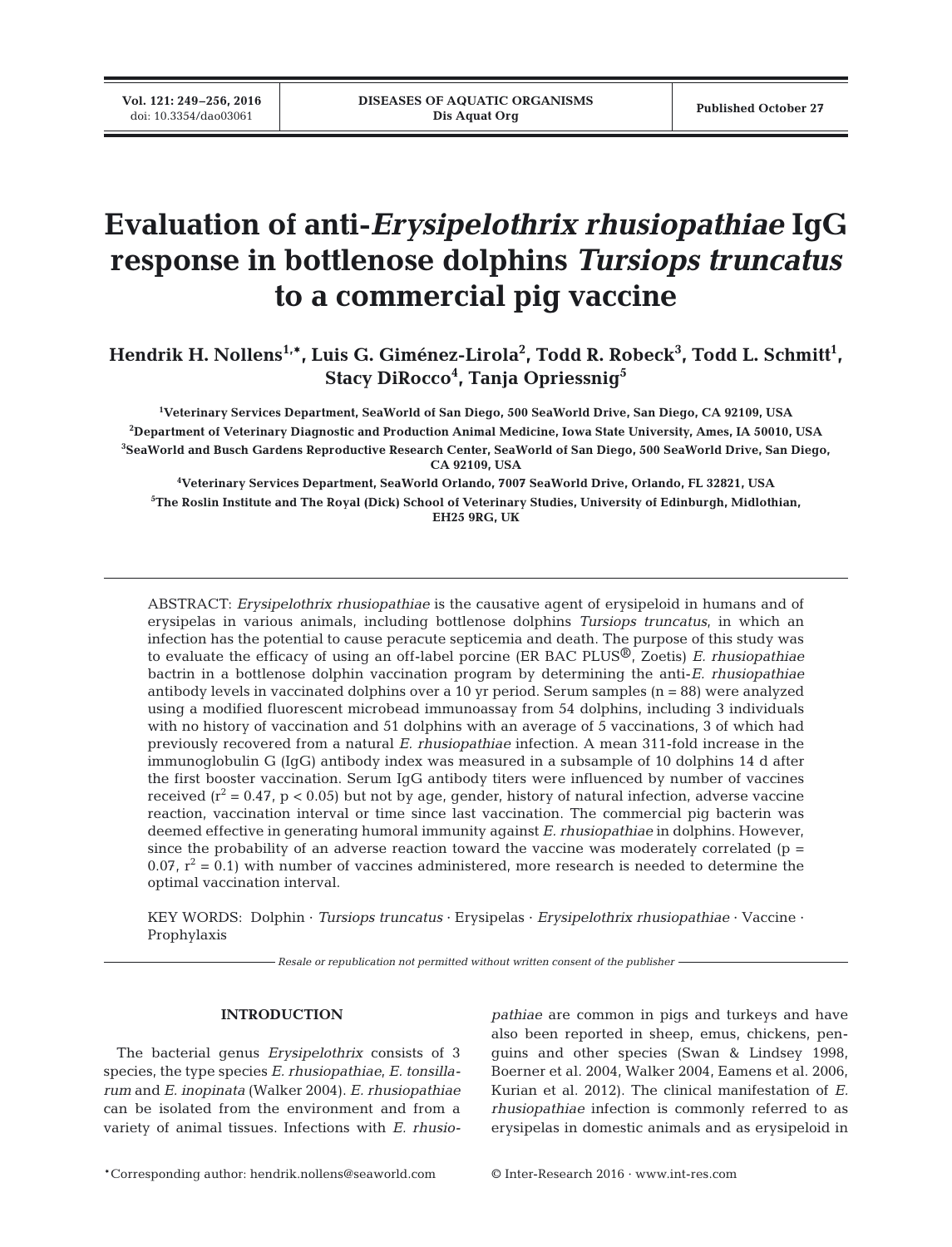**Vol. 121: 249–256, 2016**<br>doi: 10.3354/dao03061

# **Evaluation of anti-***Erysipelothrix rhusiopathiae* **IgG response in bottlenose dolphins** *Tursiops truncatus* **to a commercial pig vaccine**

Hendrik H. Nollens<sup>1,\*</sup>, Luis G. Giménez-Lirola<sup>2</sup>, Todd R. Robeck<sup>3</sup>, Todd L. Schmitt<sup>1</sup>, **Stacy DiRocco4 , Tanja Opriessnig5**

 **Veterinary Services Department, SeaWorld of San Diego, 500 SeaWorld Drive, San Diego, CA 92109, USA Department of Veterinary Diagnostic and Production Animal Medicine, Iowa State University, Ames, IA 50010, USA SeaWorld and Busch Gardens Reproductive Research Center, SeaWorld of San Diego, 500 SeaWorld Drive, San Diego, CA 92109, USA**

**4 Veterinary Services Department, SeaWorld Orlando, 7007 SeaWorld Drive, Orlando, FL 32821, USA 5 The Roslin Institute and The Royal (Dick) School of Veterinary Studies, University of Edinburgh, Midlothian, EH25 9RG, UK**

ABSTRACT: *Erysipelothrix rhusiopathiae* is the causative agent of erysipeloid in humans and of erysipelas in various animals, including bottlenose dolphins *Tursiops truncatus*, in which an infection has the potential to cause peracute septicemia and death. The purpose of this study was to evaluate the efficacy of using an off-label porcine (ER BAC PLUS®, Zoetis) *E. rhusiopathiae* bactrin in a bottlenose dolphin vaccination program by determining the anti-*E. rhusiopathiae* antibody levels in vaccinated dolphins over a 10 yr period. Serum samples (n = 88) were analyzed using a modified fluorescent microbead immunoassay from 54 dolphins, including 3 individuals with no history of vaccination and 51 dolphins with an average of 5 vaccinations, 3 of which had previously recovered from a natural *E. rhusiopathiae* infection. A mean 311-fold increase in the immuno globulin G (IgG) antibody index was measured in a subsample of 10 dolphins 14 d after the first booster vaccination. Serum IgG antibody titers were influenced by number of vaccines received  $(r^2 = 0.47, p < 0.05)$  but not by age, gender, history of natural infection, adverse vaccine reaction, vaccination interval or time since last vaccination. The commercial pig bacterin was deemed effective in generating humoral immunity against *E. rhusiopathiae* in dolphins. However, since the probability of an adverse reaction toward the vaccine was moderately correlated ( $p =$ 0.07,  $r^2 = 0.1$ ) with number of vaccines administered, more research is needed to determine the optimal vaccination interval.

KEY WORDS: Dolphin · *Tursiops truncatus* · Erysipelas · *Erysipelothrix rhusiopathiae* · Vaccine · Prophylaxis

*Resale or republication not permitted without written consent of the publisher*

## **INTRODUCTION**

The bacterial genus *Erysipelothrix* consists of 3 species, the type species *E. rhusiopathiae*, *E. tonsilla rum* and *E. inopinata* (Walker 2004). *E. rhusio pathiae* can be isolated from the environment and from a variety of animal tissues. Infections with *E. rhusio -*

*pathiae* are common in pigs and turkeys and have also been reported in sheep, emus, chickens, penguins and other species (Swan & Lindsey 1998, Boerner et al. 2004, Walker 2004, Eamens et al. 2006, Kurian et al. 2012). The clinical manifestation of *E. rhusiopathiae* infection is commonly referred to as erysipelas in domestic animals and as erysipeloid in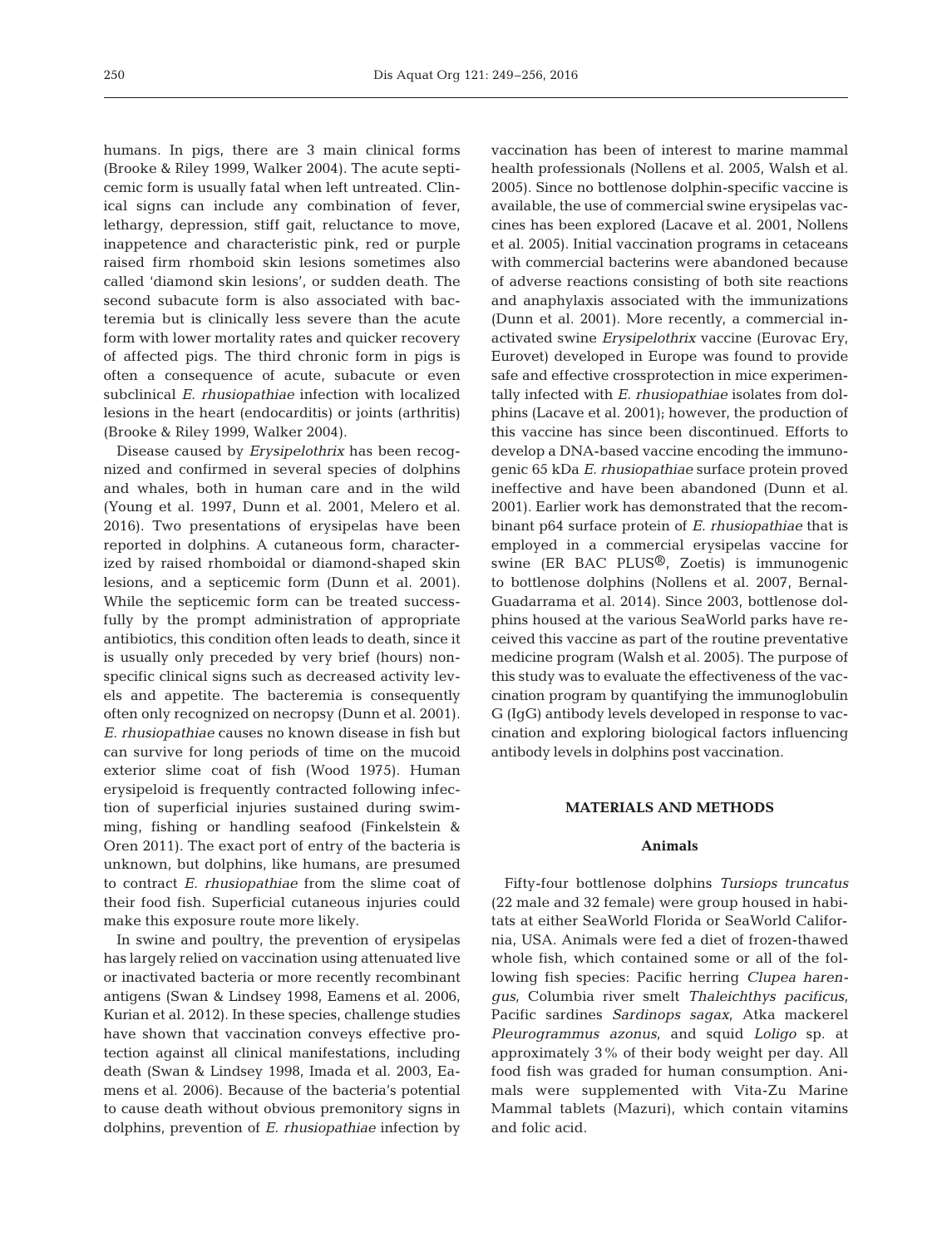humans. In pigs, there are 3 main clinical forms (Brooke & Riley 1999, Walker 2004). The acute septi cemic form is usually fatal when left untreated. Clinical signs can include any combination of fever, lethargy, depression, stiff gait, reluctance to move, inappetence and characteristic pink, red or purple raised firm rhomboid skin lesions sometimes also called 'diamond skin lesions', or sudden death. The second subacute form is also associated with bacteremia but is clinically less severe than the acute form with lower mortality rates and quicker recovery of affected pigs. The third chronic form in pigs is often a consequence of acute, subacute or even subclinical *E. rhusiopathiae* infection with localized lesions in the heart (endocarditis) or joints (arthritis) (Brooke & Riley 1999, Walker 2004).

Disease caused by *Erysipelothrix* has been recognized and confirmed in several species of dolphins and whales, both in human care and in the wild (Young et al. 1997, Dunn et al. 2001, Melero et al. 2016). Two presentations of erysipelas have been reported in dolphins. A cutaneous form, characterized by raised rhomboidal or diamond-shaped skin lesions, and a septicemic form (Dunn et al. 2001). While the septicemic form can be treated successfully by the prompt administration of appropriate antibiotics, this condition often leads to death, since it is usually only preceded by very brief (hours) nonspecific clinical signs such as decreased activity levels and appetite. The bacteremia is consequently often only recognized on necropsy (Dunn et al. 2001). *E. rhusiopathiae* causes no known disease in fish but can survive for long periods of time on the mucoid exterior slime coat of fish (Wood 1975). Human erysipeloid is frequently contracted following infection of superficial injuries sustained during swimming, fishing or handling seafood (Finkelstein & Oren 2011). The exact port of entry of the bacteria is unknown, but dolphins, like humans, are presumed to contract *E. rhusiopathiae* from the slime coat of their food fish. Superficial cutaneous injuries could make this exposure route more likely.

In swine and poultry, the prevention of erysipelas has largely relied on vaccination using attenuated live or inactivated bacteria or more recently recombinant antigens (Swan & Lindsey 1998, Eamens et al. 2006, Kurian et al. 2012). In these species, challenge studies have shown that vaccination conveys effective protection against all clinical manifestations, including death (Swan & Lindsey 1998, Imada et al. 2003, Eamens et al. 2006). Because of the bacteria's potential to cause death without obvious premonitory signs in dolphins, prevention of *E. rhusiopathiae* infection by

vaccination has been of interest to marine mammal health professionals (Nollens et al. 2005, Walsh et al. 2005). Since no bottlenose dolphin- specific vaccine is available, the use of commercial swine erysipelas vaccines has been explored (Lacave et al. 2001, Nollens et al. 2005). Initial vaccination programs in cetaceans with commercial bacterins were abandoned because of adverse reactions consisting of both site reactions and anaphylaxis associated with the immunizations (Dunn et al. 2001). More recently, a commercial in activated swine *Erysipelothrix* vaccine (Eurovac Ery, Eurovet) developed in Europe was found to provide safe and effective crossprotection in mice experimentally infected with *E. rhusiopathiae* isolates from dolphins (Lacave et al. 2001); however, the production of this vaccine has since been discontinued. Efforts to develop a DNA-based vaccine encoding the immunogenic 65 kDa *E. rhusiopathiae* surface protein proved in effective and have been abandoned (Dunn et al. 2001). Earlier work has demonstrated that the recombinant p64 surface protein of *E. rhusiopathiae* that is employed in a commercial erysipelas vaccine for swine (ER BAC PLUS<sup>®</sup>, Zoetis) is immunogenic to bottlenose dolphins (Nollens et al. 2007, Bernal-Guadarrama et al. 2014). Since 2003, bottlenose dolphins housed at the various SeaWorld parks have received this vaccine as part of the routine preventative medicine program (Walsh et al. 2005). The purpose of this study was to evaluate the effectiveness of the vaccination program by quantifying the immuno globulin G (IgG) antibody levels developed in response to vaccination and exploring biological factors influencing antibody levels in dolphins post vaccination.

## **MATERIALS AND METHODS**

## **Animals**

Fifty-four bottlenose dolphins *Tursiops truncatus* (22 male and 32 female) were group housed in habitats at either SeaWorld Florida or SeaWorld California, USA. Animals were fed a diet of frozen-thawed whole fish, which contained some or all of the following fish species: Pacific herring *Clupea harengus*, Columbia river smelt *Thaleichthys pacificus*, Pacific sardines *Sardinops sagax*, Atka mackerel *Pleurogrammus azonus*, and squid *Loligo* sp. at approximately 3% of their body weight per day. All food fish was graded for human consumption. Animals were supplemented with Vita-Zu Marine Mammal tablets (Mazuri), which contain vitamins and folic acid.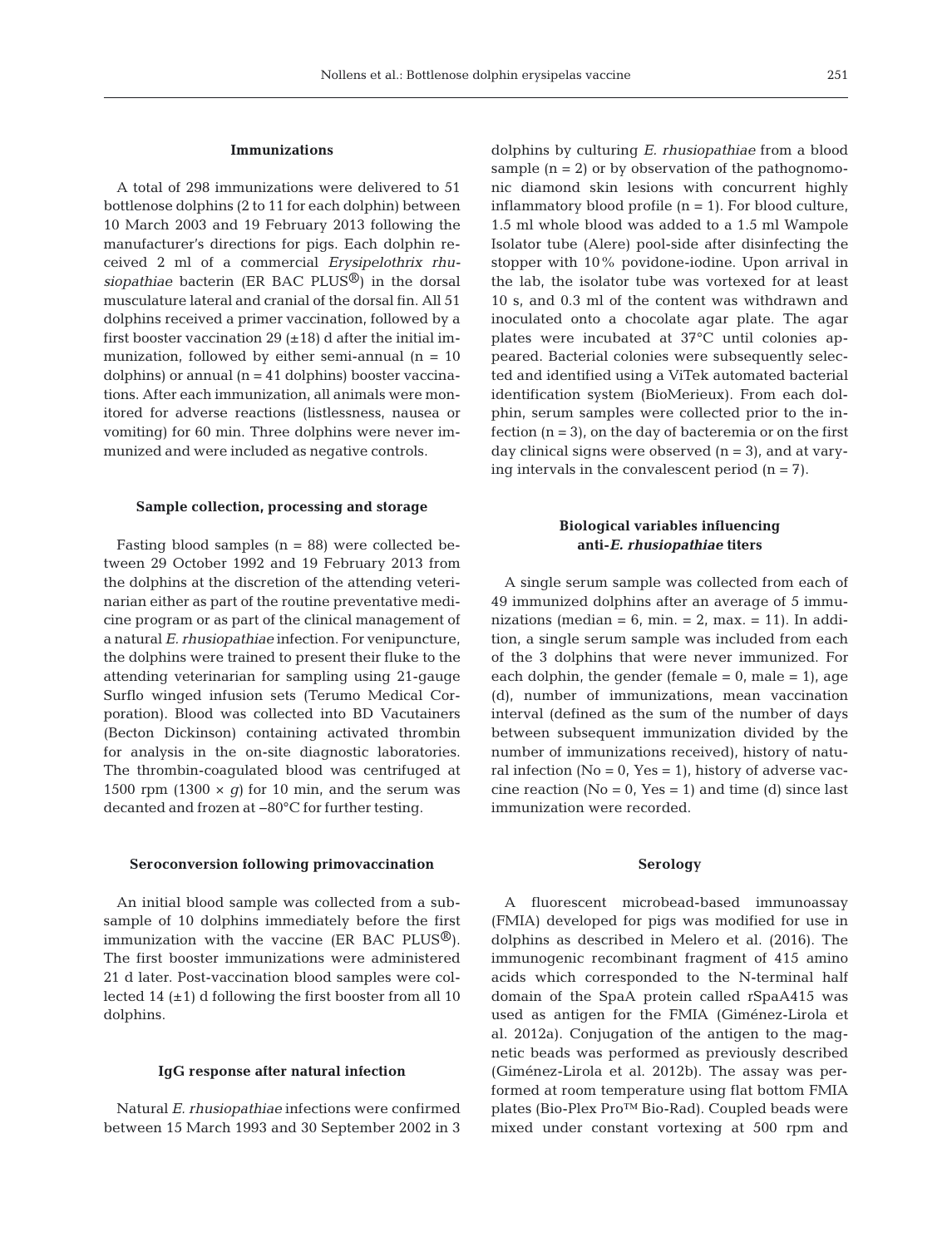## **Immunizations**

A total of 298 immunizations were delivered to 51 bottlenose dolphins (2 to 11 for each dolphin) between 10 March 2003 and 19 February 2013 following the manufacturer's directions for pigs. Each dolphin received 2 ml of a commercial *Erysipelothrix rhusiopathiae* bacterin (ER BAC PLUS®) in the dorsal musculature lateral and cranial of the dorsal fin. All 51 dolphins received a primer vaccination, followed by a first booster vaccination 29  $(\pm 18)$  d after the initial immunization, followed by either semi-annual  $(n = 10)$ dolphins) or annual (n = 41 dolphins) booster vaccinations. After each immunization, all animals were monitored for adverse reactions (listlessness, nausea or vomiting) for 60 min. Three dolphins were never immunized and were included as negative controls.

## **Sample collection, processing and storage**

Fasting blood samples  $(n = 88)$  were collected between 29 October 1992 and 19 February 2013 from the dolphins at the discretion of the attending veterinarian either as part of the routine preventative medicine program or as part of the clinical management of a natural *E. rhusiopathiae* infection. For venipuncture, the dolphins were trained to present their fluke to the attending veterinarian for sampling using 21-gauge Surflo winged infusion sets (Terumo Medical Corporation). Blood was collected into BD Vacutainers (Becton Dickinson) containing activated thrombin for analysis in the on-site diagnostic laboratories. The thrombin-coagulated blood was centrifuged at 1500 rpm  $(1300 \times q)$  for 10 min, and the serum was decanted and frozen at −80°C for further testing.

#### **Seroconversion following primovaccination**

An initial blood sample was collected from a subsample of 10 dolphins immediately before the first immunization with the vaccine (ER BAC PLUS<sup>®</sup>). The first booster immunizations were administered 21 d later. Post-vaccination blood samples were collected 14  $(\pm 1)$  d following the first booster from all 10 dolphins.

## **IgG response after natural infection**

Natural *E. rhusiopathiae* infections were confirmed between 15 March 1993 and 30 September 2002 in 3 dolphins by culturing *E. rhusiopathiae* from a blood sample  $(n = 2)$  or by observation of the pathognomonic diamond skin lesions with concurrent highly inflammatory blood profile  $(n = 1)$ . For blood culture, 1.5 ml whole blood was added to a 1.5 ml Wampole Isolator tube (Alere) pool-side after disinfecting the stopper with 10% povidone-iodine. Upon arrival in the lab, the isolator tube was vortexed for at least 10 s, and 0.3 ml of the content was withdrawn and inoculated onto a chocolate agar plate. The agar plates were incubated at 37°C until colonies appeared. Bacterial colonies were subsequently selec ted and identified using a ViTek automated bacterial identification system (BioMerieux). From each dolphin, serum samples were collected prior to the infection  $(n = 3)$ , on the day of bacteremia or on the first day clinical signs were observed  $(n = 3)$ , and at varying intervals in the convalescent period  $(n = 7)$ .

# **Biological variables influencing anti-***E. rhusiopathiae* **titers**

A single serum sample was collected from each of 49 immunized dolphins after an average of 5 immunizations (median =  $6$ , min. =  $2$ , max. = 11). In addition, a single serum sample was included from each of the 3 dolphins that were never immunized. For each dolphin, the gender (female  $= 0$ , male  $= 1$ ), age (d), number of immunizations, mean vaccination interval (defined as the sum of the number of days between subsequent immunization divided by the number of immunizations received), history of natural infection ( $No = 0$ ,  $Yes = 1$ ), history of adverse vaccine reaction ( $No = 0$ ,  $Yes = 1$ ) and time (d) since last immunization were recorded.

#### **Serology**

A fluorescent microbead-based immunoassay (FMIA) developed for pigs was modified for use in dolphins as described in Melero et al. (2016). The immunogenic recombinant fragment of 415 amino acids which corresponded to the N-terminal half domain of the SpaA protein called rSpaA415 was used as antigen for the FMIA (Giménez-Lirola et al. 2012a). Conjugation of the antigen to the magnetic beads was performed as previously described (Giménez-Lirola et al. 2012b). The assay was performed at room temperature using flat bottom FMIA plates (Bio-Plex Pro™ Bio-Rad). Coupled beads were mixed under constant vortexing at 500 rpm and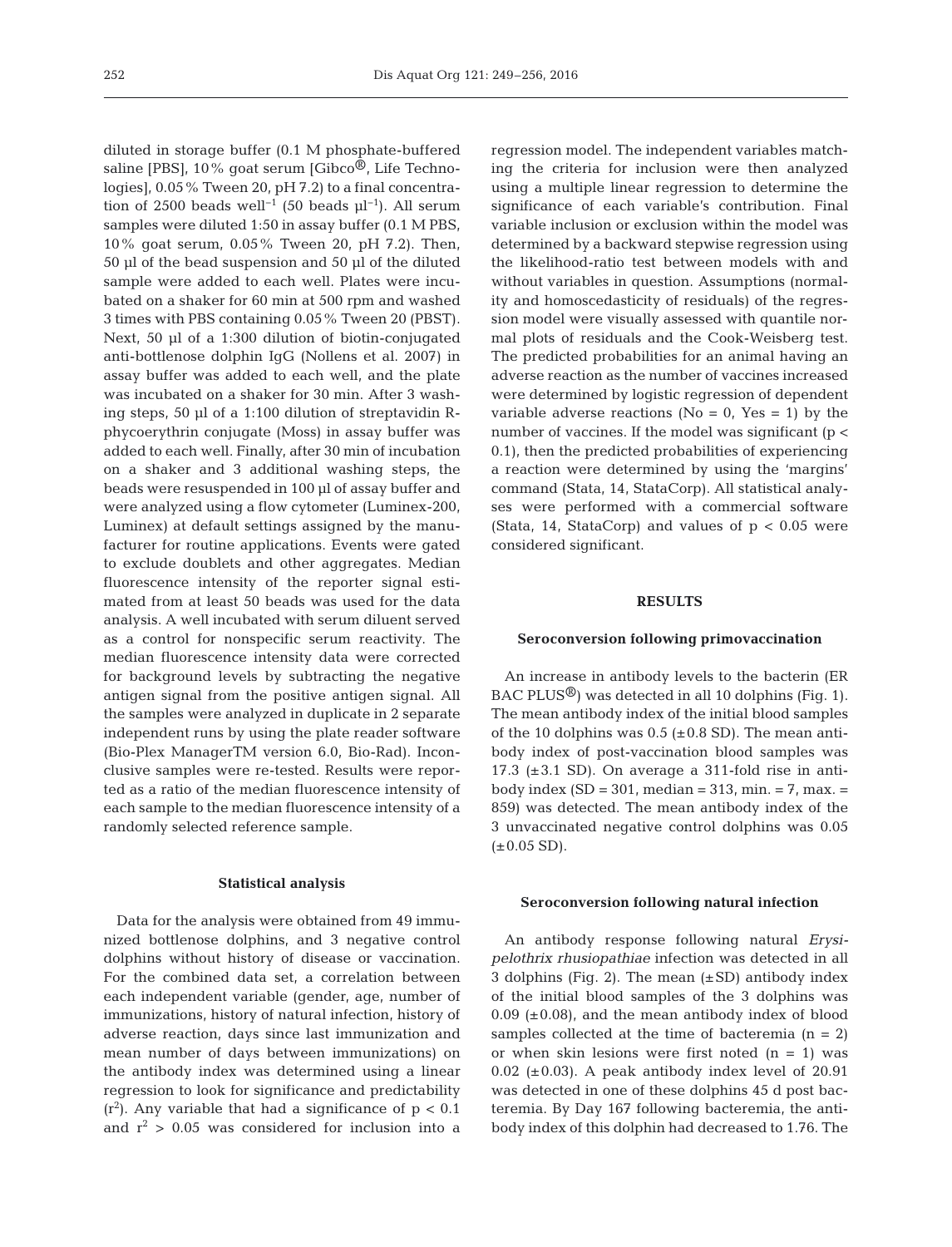diluted in storage buffer (0.1 M phosphate-buffered saline [PBS],  $10\%$  goat serum [Gibco<sup>®</sup>, Life Technologies], 0.05% Tween 20, pH 7.2) to a final concentration of 2500 beads well<sup>-1</sup> (50 beads  $\mu$ l<sup>-1</sup>). All serum samples were diluted 1:50 in assay buffer (0.1 M PBS, 10% goat serum, 0.05% Tween 20, pH 7.2). Then, 50 µl of the bead suspension and 50 µl of the diluted sample were added to each well. Plates were incubated on a shaker for 60 min at 500 rpm and washed 3 times with PBS containing 0.05% Tween 20 (PBST). Next, 50 µl of a 1:300 dilution of biotin-conjugated anti-bottlenose dolphin IgG (Nollens et al. 2007) in assay buffer was added to each well, and the plate was incubated on a shaker for 30 min. After 3 washing steps, 50 µl of a 1:100 dilution of streptavidin Rphycoerythrin conjugate (Moss) in assay buffer was added to each well. Finally, after 30 min of incubation on a shaker and 3 additional washing steps, the beads were resuspended in 100 µl of assay buffer and were analyzed using a flow cytometer (Luminex-200, Luminex) at default settings assigned by the manufacturer for routine applications. Events were gated to exclude doublets and other aggregates. Median fluorescence intensity of the reporter signal estimated from at least 50 beads was used for the data analysis. A well incubated with serum diluent served as a control for nonspecific serum reactivity. The median fluorescence intensity data were corrected for background levels by subtracting the negative antigen signal from the positive antigen signal. All the samples were analyzed in duplicate in 2 separate independent runs by using the plate reader software (Bio-Plex ManagerTM version 6.0, Bio-Rad). Inconclusive samples were re-tested. Results were repor ted as a ratio of the median fluorescence intensity of each sample to the median fluorescence intensity of a randomly selected reference sample.

## **Statistical analysis**

Data for the analysis were obtained from 49 immunized bottlenose dolphins, and 3 negative control dolphins without history of disease or vaccination. For the combined data set, a correlation between each independent variable (gender, age, number of immunizations, history of natural infection, history of adverse reaction, days since last immunization and mean number of days between immunizations) on the antibody index was determined using a linear regression to look for significance and predictability  $(r<sup>2</sup>)$ . Any variable that had a significance of  $p < 0.1$ and  $r^2 > 0.05$  was considered for inclusion into a

regression model. The independent variables matching the criteria for inclusion were then analyzed using a multiple linear regression to determine the significance of each variable's contribution. Final variable inclusion or exclusion within the model was determined by a backward stepwise regression using the likelihood-ratio test between models with and without variables in question. Assumptions (normality and homoscedasticity of residuals) of the regression model were visually assessed with quantile normal plots of residuals and the Cook-Weisberg test. The predicted probabilities for an animal having an adverse reaction as the number of vaccines increased were determined by logistic regression of dependent variable adverse reactions ( $No = 0$ ,  $Yes = 1$ ) by the number of vaccines. If the model was significant ( $p <$ 0.1), then the predicted probabilities of experiencing a reaction were determined by using the 'margins' command (Stata, 14, StataCorp). All statistical analyses were performed with a commercial software (Stata, 14, StataCorp) and values of  $p < 0.05$  were considered significant.

## **RESULTS**

#### **Seroconversion following primovaccination**

An increase in antibody levels to the bacterin (ER  $BAC$  PLUS<sup>®</sup>) was detected in all 10 dolphins (Fig. 1). The mean antibody index of the initial blood samples of the 10 dolphins was  $0.5$  ( $\pm 0.8$  SD). The mean antibody index of post-vaccination blood samples was 17.3 ( $\pm$ 3.1 SD). On average a 311-fold rise in antibody index  $(SD = 301$ , median = 313, min. = 7, max. = 859) was detected. The mean antibody index of the 3 unvaccinated negative control dolphins was 0.05  $(\pm 0.05$  SD).

#### **Seroconversion following natural infection**

An antibody response following natural *Erysi pelothrix rhusiopathiae* infection was detected in all 3 dolphins (Fig. 2). The mean  $(\pm SD)$  antibody index of the initial blood samples of the 3 dolphins was  $0.09$  ( $\pm$ 0.08), and the mean antibody index of blood samples collected at the time of bacteremia  $(n = 2)$ or when skin lesions were first noted  $(n = 1)$  was  $0.02$  ( $\pm 0.03$ ). A peak antibody index level of 20.91 was detected in one of these dolphins 45 d post bacteremia. By Day 167 following bacteremia, the antibody index of this dolphin had decreased to 1.76. The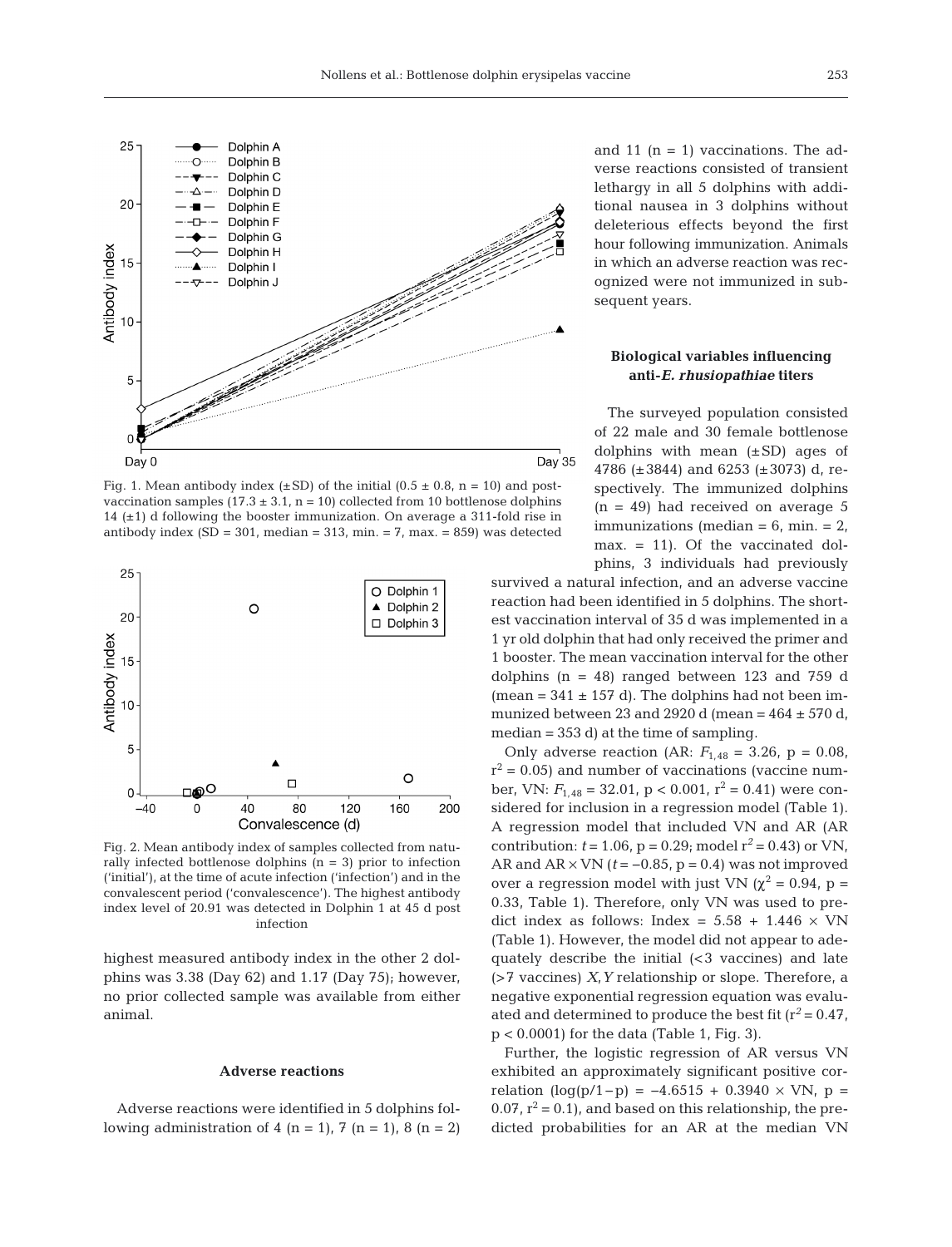

Fig. 1. Mean antibody index ( $\pm$ SD) of the initial (0.5  $\pm$  0.8, n = 10) and postvaccination samples  $(17.3 \pm 3.1, n = 10)$  collected from 10 bottlenose dolphins 14  $(\pm 1)$  d following the booster immunization. On average a 311-fold rise in antibody index (SD = 301, median = 313, min. =  $7$ , max. = 859) was detected



Fig. 2. Mean antibody index of samples collected from naturally infected bottlenose dolphins  $(n = 3)$  prior to infection ('initial'), at the time of acute infection ('infection') and in the convalescent period ('convalescence'). The highest antibody index level of 20.91 was detected in Dolphin 1 at 45 d post infection

highest measured antibody index in the other 2 dolphins was 3.38 (Day 62) and 1.17 (Day 75); however, no prior collected sample was available from either animal.

#### **Adverse reactions**

Adverse reactions were identified in 5 dolphins following administration of 4 (n = 1), 7 (n = 1), 8 (n = 2) and 11  $(n = 1)$  vaccinations. The adverse reactions consisted of transient lethargy in all 5 dolphins with additional nausea in 3 dolphins without deleterious effects beyond the first hour following immunization. Animals in which an adverse reaction was recognized were not immunized in subsequent years.

## **Biological variables influencing anti-***E. rhusiopathiae* **titers**

The surveyed population consisted of 22 male and 30 female bottlenose dolphins with mean  $(\pm SD)$  ages of 4786 (±3844) and 6253 (±3073) d, respectively. The immunized dolphins  $(n = 49)$  had received on average 5 immunizations (median  $= 6$ , min.  $= 2$ , max. = 11). Of the vaccinated dolphins, 3 individuals had previously

survived a natural infection, and an adverse vaccine reaction had been identified in 5 dolphins. The shortest vaccination interval of 35 d was implemented in a 1 yr old dolphin that had only received the primer and 1 booster. The mean vaccination interval for the other dolphins  $(n = 48)$  ranged between 123 and 759 d (mean =  $341 \pm 157$  d). The dolphins had not been immunized between 23 and 2920 d (mean =  $464 \pm 570$  d, median = 353 d) at the time of sampling.

Only adverse reaction (AR:  $F_{1,48} = 3.26$ , p = 0.08,  $r^2$  = 0.05) and number of vaccinations (vaccine number, VN:  $F_{1,48} = 32.01$ , p < 0.001, r<sup>2</sup> = 0.41) were considered for inclusion in a regression model (Table 1). A regression model that included VN and AR (AR contribution:  $t = 1.06$ ,  $p = 0.29$ ; model  $r^2 = 0.43$ ) or VN, AR and  $AR \times VN$  ( $t = -0.85$ ,  $p = 0.4$ ) was not improved over a regression model with just VN ( $\chi^2$  = 0.94, p = 0.33, Table 1). Therefore, only VN was used to predict index as follows: Index =  $5.58 + 1.446 \times \text{VN}$ (Table 1). However, the model did not appear to adequately describe the initial  $($  vaccines) and late (>7 vaccines) *X*,*Y* relationship or slope. Therefore, a negative exponential regression equation was evaluated and determined to produce the best fit  $(r^2 = 0.47)$ , p < 0.0001) for the data (Table 1, Fig. 3).

Further, the logistic regression of AR versus VN exhibited an approximately significant positive correlation  $(log(p/1-p) = -4.6515 + 0.3940 \times VN$ , p = 0.07,  $r^2 = 0.1$ , and based on this relationship, the predicted probabilities for an AR at the median VN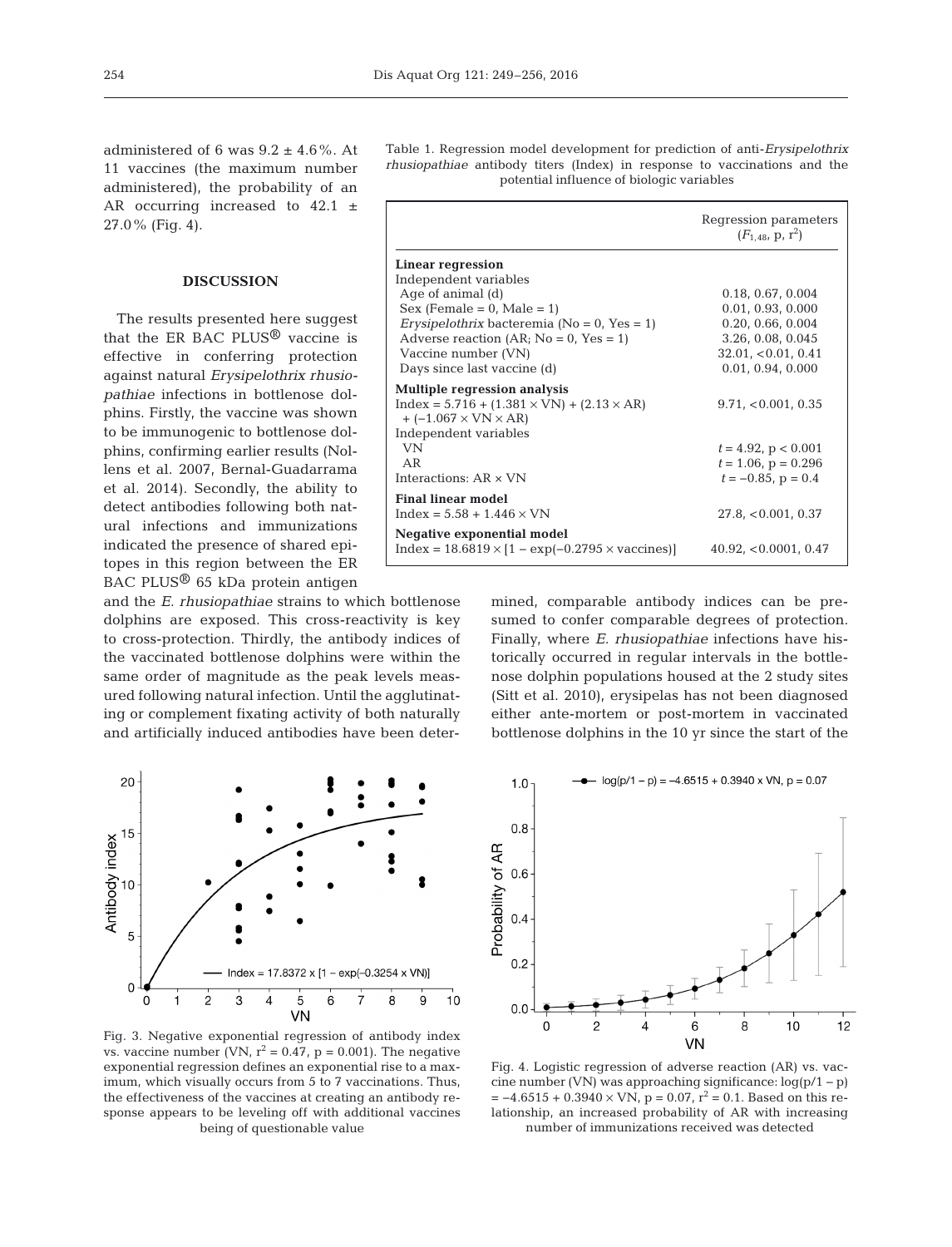administered of 6 was  $9.2 \pm 4.6\%$ . At 11 vaccines (the maximum number administered), the probability of an AR occurring increased to  $42.1 \pm$ 27.0% (Fig. 4).

### **DISCUSSION**

The results presented here suggest that the ER BAC PLUS® vaccine is effective in conferring protection against natural *Erysipelothrix rhusio pathiae* in fections in bottlenose dolphins. Firstly, the vaccine was shown to be immunogenic to bottlenose dolphins, confirming earlier results (Nollens et al. 2007, Bernal-Guadarrama et al. 2014). Secondly, the ability to detect antibodies following both natural infections and immunizations indicated the presence of shared epitopes in this region between the ER BAC PLUS® 65 kDa protein antigen

and the *E. rhusiopathiae* strains to which bottlenose dolphins are exposed. This cross-reactivity is key to cross-protection. Thirdly, the antibody indices of the vaccinated bottlenose dolphins were within the same order of magnitude as the peak levels measured following natural infection. Until the agglutinating or complement fixating activity of both naturally and artificially induced antibodies have been deter-



Fig. 3. Negative exponential regression of antibody index vs. vaccine number (VN,  $r^2 = 0.47$ , p = 0.001). The negative exponential regression defines an exponential rise to a maximum, which visually occurs from 5 to 7 vaccinations. Thus, the effectiveness of the vaccines at creating an antibody response appears to be leveling off with additional vaccines being of questionable value

Table 1. Regression model development for prediction of anti-*Erysipelothrix rhusiopathiae* antibody titers (Index) in response to vaccinations and the potential influence of biologic variables

|                                                                                                  | Regression parameters<br>$(F_{1.48}, p, r^2)$ |
|--------------------------------------------------------------------------------------------------|-----------------------------------------------|
| Linear regression                                                                                |                                               |
| Independent variables                                                                            |                                               |
| Age of animal $(d)$                                                                              | 0.18, 0.67, 0.004                             |
| $Sex (Female = 0, Male = 1)$                                                                     | 0.01, 0.93, 0.000                             |
| Erysipelothrix bacteremia ( $No = 0$ , $Yes = 1$ )                                               | 0.20, 0.66, 0.004                             |
| Adverse reaction $(AR; No = 0, Yes = 1)$                                                         | 3.26, 0.08, 0.045                             |
| Vaccine number (VN)                                                                              | 32.01, <0.01, 0.41                            |
| Days since last vaccine (d)                                                                      | 0.01, 0.94, 0.000                             |
| <b>Multiple regression analysis</b>                                                              |                                               |
| $Index = 5.716 + (1.381 \times VN) + (2.13 \times AR)$<br>$+$ (-1.067 $\times$ VN $\times$ AR)   | 9.71, < 0.001, 0.35                           |
| Independent variables                                                                            |                                               |
| VN                                                                                               | $t = 4.92$ , p < 0.001                        |
| AR                                                                                               | $t = 1.06$ , $p = 0.296$                      |
| Interactions: $AR \times VN$                                                                     | $t = -0.85$ , p = 0.4                         |
| <b>Final linear model</b>                                                                        |                                               |
| $Index = 5.58 + 1.446 \times VN$                                                                 | 27.8, < 0.001, 0.37                           |
| <b>Negative exponential model</b><br>$Index = 18.6819 \times [1 - exp(-0.2795 \times vaccines)]$ | 40.92, < 0.0001, 0.47                         |

mined, comparable antibody indices can be presumed to confer comparable degrees of protection. Finally, where *E. rhusiopathiae* infections have historically occurred in regular intervals in the bottlenose dolphin populations housed at the 2 study sites (Sitt et al. 2010), erysipelas has not been diagnosed either ante-mortem or post-mortem in vaccinated bottlenose dolphins in the 10 yr since the start of the



Fig. 4. Logistic regression of adverse reaction (AR) vs. vaccine number (VN) was approaching significance: log(p/1 − p)  $= -4.6515 + 0.3940 \times \text{VN}$ ,  $p = 0.07$ ,  $r^2 = 0.1$ . Based on this relationship, an increased probability of AR with increasing number of immunizations received was detected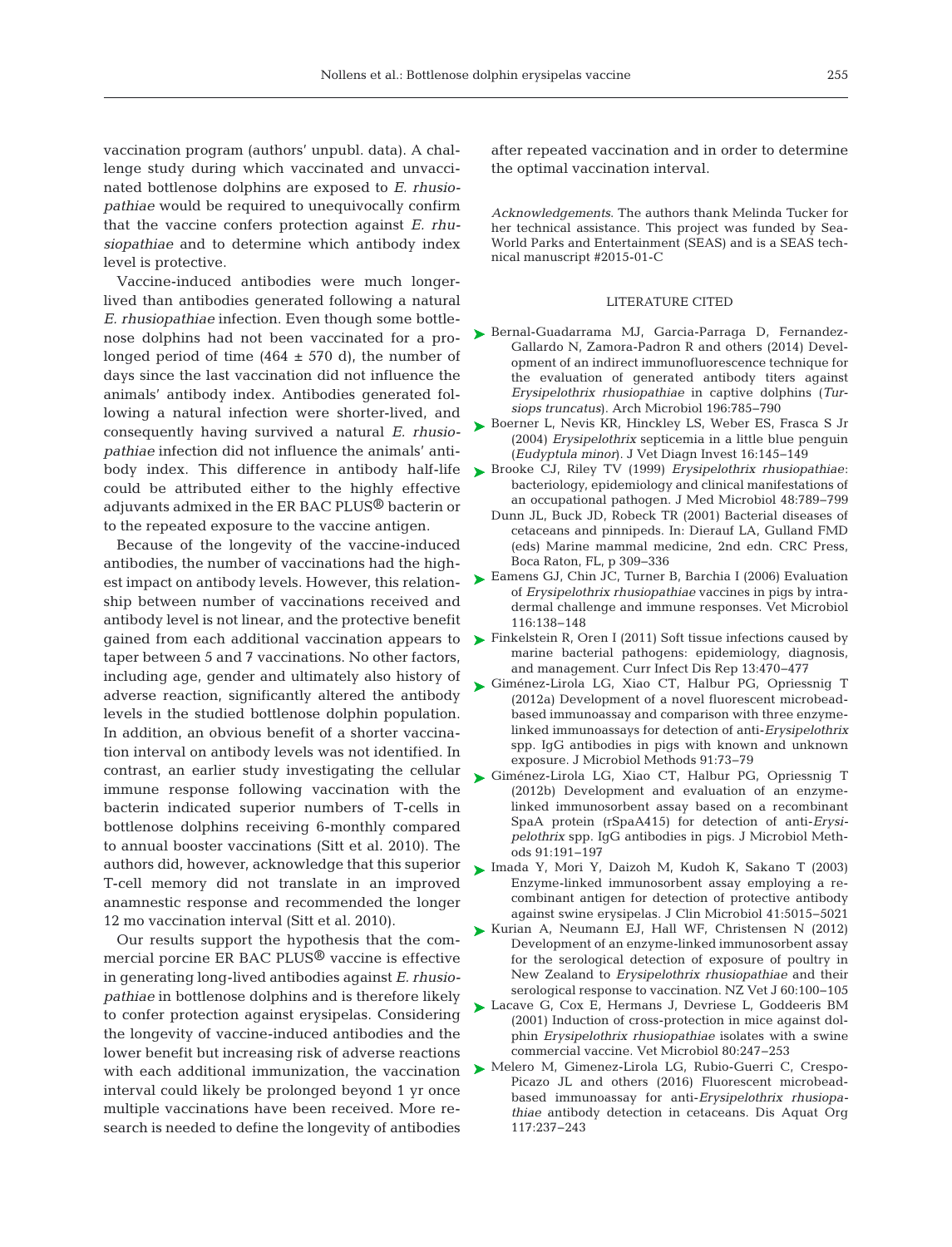vaccination program (authors' unpubl. data). A challenge study during which vaccinated and unvaccinated bottlenose dolphins are exposed to *E. rhusio pathiae* would be required to unequivocally confirm that the vaccine confers protection against *E. rhusiopathiae* and to determine which antibody index level is protective.

Vaccine-induced antibodies were much longerlived than antibodies generated following a natural *E. rhusiopathiae* infection. Even though some bottlenose dolphins had not been vaccinated for a prolonged period of time  $(464 \pm 570)$  d), the number of days since the last vaccination did not influence the animals' antibody index. Antibodies generated following a natural infection were shorter-lived, and consequently having survived a natural *E. rhusio pathiae* infection did not influence the animals' antibody index. This difference in antibody half-life could be attributed either to the highly effective adjuvants admixed in the ER BAC PLUS® bacterin or to the repeated exposure to the vaccine antigen.

Because of the longevity of the vaccine-induced antibodies, the number of vaccinations had the highest impact on antibody levels. However, this relationship between number of vaccinations received and antibody level is not linear, and the protective benefit gained from each additional vaccination appears to taper between 5 and 7 vaccinations. No other factors, including age, gender and ultimately also history of adverse reaction, significantly altered the antibody levels in the studied bottlenose dolphin population. In addition, an obvious benefit of a shorter vaccination interval on antibody levels was not identified. In contrast, an earlier study investigating the cellular immune response following vaccination with the bacterin indicated superior numbers of T-cells in bottlenose dolphins receiving 6-monthly compared to annual booster vaccinations (Sitt et al. 2010). The authors did, however, acknowledge that this superior T-cell memory did not translate in an improved anamnestic response and recommended the longer 12 mo vaccination interval (Sitt et al. 2010).

Our results support the hypothesis that the commercial porcine ER BAC PLUS® vaccine is effective in generating long-lived antibodies against *E. rhusio pathiae* in bottlenose dolphins and is therefore likely to confer protection against erysipelas. Considering the longevity of vaccine-induced antibodies and the lower benefit but increasing risk of adverse reactions with each additional immunization, the vaccination interval could likely be prolonged beyond 1 yr once multiple vaccinations have been received. More research is needed to define the longevity of antibodies

after repeated vaccination and in order to determine the optimal vaccination interval.

*Acknowledgements*. The authors thank Melinda Tucker for her technical assistance. This project was funded by Sea-World Parks and Entertainment (SEAS) and is a SEAS technical manuscript #2015-01-C

#### LITERATURE CITED

- ▶ [Bernal-Guadarrama MJ, Garcia-Parraga D, Fernandez-](http://dx.doi.org/10.1007/s00203-014-1020-0)Gallardo N, Zamora-Padron R and others (2014) Development of an indirect immunofluorescence technique for the evaluation of generated antibody titers against *Erysipelothrix rhusiopathiae* in captive dolphins (*Tursiops truncatus*). Arch Microbiol 196: 785−790
- ► [Boerner L, Nevis KR, Hinckley LS, Weber ES, Frasca S Jr](http://dx.doi.org/10.1177/104063870401600209) (2004) *Erysipelothrix* septicemia in a little blue penguin (*Eudyptula minor*). J Vet Diagn Invest 16: 145−149
- [Brooke CJ, Riley TV \(1999\)](http://dx.doi.org/10.1099/00222615-48-9-789) *Erysipelothrix rhusiopathiae*: ➤ bacteriology, epidemiology and clinical manifestations of an occupational pathogen. J Med Microbiol 48: 789−799
	- Dunn JL, Buck JD, Robeck TR (2001) Bacterial diseases of cetaceans and pinnipeds. In: Dierauf LA, Gulland FMD (eds) Marine mammal medicine, 2nd edn. CRC Press, Boca Raton, FL, p 309−336
- [Eamens GJ, Chin JC, Turner B, Barchia I \(2006\) Evaluation](http://dx.doi.org/10.1016/j.vetmic.2006.03.018) ➤ of *Erysipelothrix rhusiopathiae* vaccines in pigs by intradermal challenge and immune responses. Vet Microbiol 116: 138−148
- ► [Finkelstein R, Oren I \(2011\) Soft tissue infections caused by](http://dx.doi.org/10.1007/s11908-011-0199-3) marine bacterial pathogens: epidemiology, diagnosis, and management. Curr Infect Dis Rep 13: 470−477
- ▶ [Giménez-Lirola LG, Xiao CT, Halbur PG, Opriessnig T](http://dx.doi.org/10.1016/j.mimet.2012.07.014) (2012a) Development of a novel fluorescent microbeadbased immunoassay and comparison with three enzymelinked immunoassays for detection of anti-*Erysipelothrix* spp. IgG antibodies in pigs with known and unknown exposure. J Microbiol Methods 91:73-79
- [Giménez-Lirola LG, Xiao CT, Halbur PG, Opriessnig T](http://dx.doi.org/10.1016/j.mimet.2012.06.011) ➤ (2012b) Development and evaluation of an enzymelinked immunosorbent assay based on a recombinant SpaA protein (rSpaA415) for detection of anti-*Erysi pelothrix* spp. IgG antibodies in pigs. J Microbiol Methods 91: 191−197
- [Imada Y, Mori Y, Daizoh M, Kudoh K, Sakano T \(2003\)](http://dx.doi.org/10.1128/JCM.41.11.5015-5021.2003) ➤ Enzyme-linked immunosorbent assay employing a re combinant antigen for detection of protective antibody against swine erysipelas. J Clin Microbiol 41: 5015−5021
- ► [Kurian A, Neumann EJ, Hall WF, Christensen N \(2012\)](http://dx.doi.org/10.1080/00480169.2011.639057) Development of an enzyme-linked immunosorbent assay for the serological detection of exposure of poultry in New Zealand to *Erysipelothrix rhusiopathiae* and their serological response to vaccination. NZ Vet J 60:100-105
- ▶ [Lacave G, Cox E, Hermans J, Devriese L, Goddeeris BM](http://dx.doi.org/10.1016/S0378-1135(01)00311-X) (2001) Induction of cross-protection in mice against dolphin *Erysipelothrix rhusiopathiae* isolates with a swine commercial vaccine. Vet Microbiol 80: 247−253
- ▶ [Melero M, Gimenez-Lirola LG, Rubio-Guerri C, Crespo-](http://dx.doi.org/10.3354/dao02948)Picazo JL and others (2016) Fluorescent microbeadbased immunoassay for anti-*Erysipelothrix rhusiopa thiae* antibody detection in cetaceans. Dis Aquat Org 117: 237−243